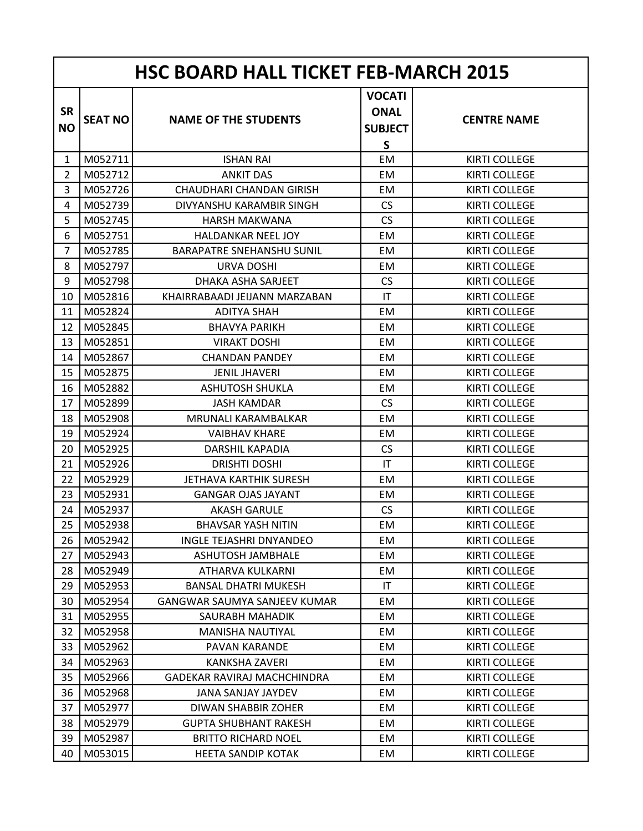| <b>HSC BOARD HALL TICKET FEB-MARCH 2015</b> |                |                                  |                                                                |                      |  |
|---------------------------------------------|----------------|----------------------------------|----------------------------------------------------------------|----------------------|--|
| <b>SR</b><br><b>NO</b>                      | <b>SEAT NO</b> | <b>NAME OF THE STUDENTS</b>      | <b>VOCATI</b><br><b>ONAL</b><br><b>SUBJECT</b><br>$\mathsf{S}$ | <b>CENTRE NAME</b>   |  |
| $\mathbf{1}$                                | M052711        | <b>ISHAN RAI</b>                 | EM                                                             | <b>KIRTI COLLEGE</b> |  |
| $\overline{2}$                              | M052712        | <b>ANKIT DAS</b>                 | EM                                                             | <b>KIRTI COLLEGE</b> |  |
| 3                                           | M052726        | <b>CHAUDHARI CHANDAN GIRISH</b>  | EM                                                             | <b>KIRTI COLLEGE</b> |  |
| 4                                           | M052739        | DIVYANSHU KARAMBIR SINGH         | <b>CS</b>                                                      | <b>KIRTI COLLEGE</b> |  |
| 5                                           | M052745        | <b>HARSH MAKWANA</b>             | <b>CS</b>                                                      | <b>KIRTI COLLEGE</b> |  |
| 6                                           | M052751        | <b>HALDANKAR NEEL JOY</b>        | EM                                                             | <b>KIRTI COLLEGE</b> |  |
| $\overline{7}$                              | M052785        | <b>BARAPATRE SNEHANSHU SUNIL</b> | EM                                                             | <b>KIRTI COLLEGE</b> |  |
| 8                                           | M052797        | <b>URVA DOSHI</b>                | EM                                                             | <b>KIRTI COLLEGE</b> |  |
| 9                                           | M052798        | DHAKA ASHA SARJEET               | <b>CS</b>                                                      | <b>KIRTI COLLEGE</b> |  |
| 10                                          | M052816        | KHAIRRABAADI JEIJANN MARZABAN    | T                                                              | <b>KIRTI COLLEGE</b> |  |
| 11                                          | M052824        | <b>ADITYA SHAH</b>               | EM                                                             | <b>KIRTI COLLEGE</b> |  |
| 12                                          | M052845        | <b>BHAVYA PARIKH</b>             | EM                                                             | <b>KIRTI COLLEGE</b> |  |
| 13                                          | M052851        | <b>VIRAKT DOSHI</b>              | EM                                                             | <b>KIRTI COLLEGE</b> |  |
| 14                                          | M052867        | <b>CHANDAN PANDEY</b>            | EM                                                             | <b>KIRTI COLLEGE</b> |  |
| 15                                          | M052875        | <b>JENIL JHAVERI</b>             | EM                                                             | <b>KIRTI COLLEGE</b> |  |
| 16                                          | M052882        | <b>ASHUTOSH SHUKLA</b>           | EM                                                             | <b>KIRTI COLLEGE</b> |  |
| 17                                          | M052899        | <b>JASH KAMDAR</b>               | <b>CS</b>                                                      | <b>KIRTI COLLEGE</b> |  |
| 18                                          | M052908        | MRUNALI KARAMBALKAR              | EM                                                             | <b>KIRTI COLLEGE</b> |  |
| 19                                          | M052924        | <b>VAIBHAV KHARE</b>             | EM                                                             | <b>KIRTI COLLEGE</b> |  |
| 20                                          | M052925        | <b>DARSHIL KAPADIA</b>           | <b>CS</b>                                                      | <b>KIRTI COLLEGE</b> |  |
| 21                                          | M052926        | <b>DRISHTI DOSHI</b>             | IT                                                             | <b>KIRTI COLLEGE</b> |  |
| 22                                          | M052929        | JETHAVA KARTHIK SURESH           | EM                                                             | <b>KIRTI COLLEGE</b> |  |
| 23                                          | M052931        | <b>GANGAR OJAS JAYANT</b>        | EM                                                             | <b>KIRTI COLLEGE</b> |  |
| 24                                          | M052937        | <b>AKASH GARULE</b>              | <b>CS</b>                                                      | <b>KIRTI COLLEGE</b> |  |
| 25                                          | M052938        | <b>BHAVSAR YASH NITIN</b>        | EM                                                             | <b>KIRTI COLLEGE</b> |  |
| 26                                          | M052942        | <b>INGLE TEJASHRI DNYANDEO</b>   | EM                                                             | <b>KIRTI COLLEGE</b> |  |
| 27                                          | M052943        | ASHUTOSH JAMBHALE                | EM                                                             | <b>KIRTI COLLEGE</b> |  |
| 28                                          | M052949        | ATHARVA KULKARNI                 | EM                                                             | <b>KIRTI COLLEGE</b> |  |
| 29                                          | M052953        | <b>BANSAL DHATRI MUKESH</b>      | IT                                                             | <b>KIRTI COLLEGE</b> |  |
| 30                                          | M052954        | GANGWAR SAUMYA SANJEEV KUMAR     | EM                                                             | <b>KIRTI COLLEGE</b> |  |
| 31                                          | M052955        | SAURABH MAHADIK                  | EM                                                             | <b>KIRTI COLLEGE</b> |  |
| 32                                          | M052958        | <b>MANISHA NAUTIYAL</b>          | EM                                                             | <b>KIRTI COLLEGE</b> |  |
| 33                                          | M052962        | PAVAN KARANDE                    | EM                                                             | <b>KIRTI COLLEGE</b> |  |
| 34                                          | M052963        | KANKSHA ZAVERI                   | EM                                                             | KIRTI COLLEGE        |  |
| 35                                          | M052966        | GADEKAR RAVIRAJ MACHCHINDRA      | EM                                                             | <b>KIRTI COLLEGE</b> |  |
| 36                                          | M052968        | JANA SANJAY JAYDEV               | EM                                                             | <b>KIRTI COLLEGE</b> |  |
| 37                                          | M052977        | DIWAN SHABBIR ZOHER              | EM                                                             | <b>KIRTI COLLEGE</b> |  |
| 38                                          | M052979        | <b>GUPTA SHUBHANT RAKESH</b>     | EM                                                             | <b>KIRTI COLLEGE</b> |  |
| 39                                          | M052987        | <b>BRITTO RICHARD NOEL</b>       | EM                                                             | KIRTI COLLEGE        |  |
| 40                                          | M053015        | <b>HEETA SANDIP KOTAK</b>        | EM                                                             | <b>KIRTI COLLEGE</b> |  |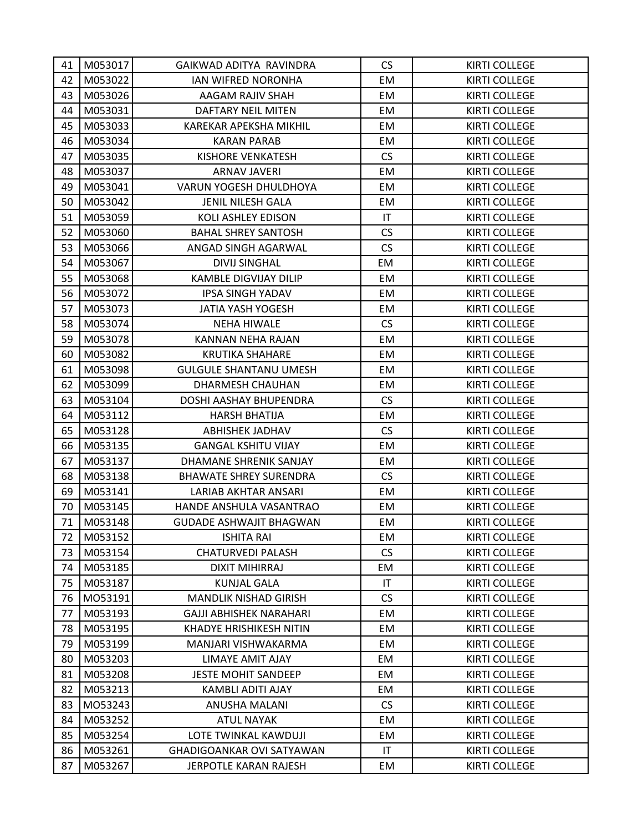| 41 | M053017 | GAIKWAD ADITYA RAVINDRA          | <b>CS</b>              | <b>KIRTI COLLEGE</b> |
|----|---------|----------------------------------|------------------------|----------------------|
| 42 | M053022 | IAN WIFRED NORONHA               | EM                     | <b>KIRTI COLLEGE</b> |
| 43 | M053026 | AAGAM RAJIV SHAH                 | EM                     | <b>KIRTI COLLEGE</b> |
| 44 | M053031 | DAFTARY NEIL MITEN               | EM                     | <b>KIRTI COLLEGE</b> |
| 45 | M053033 | <b>KAREKAR APEKSHA MIKHIL</b>    | EM                     | <b>KIRTI COLLEGE</b> |
| 46 | M053034 | <b>KARAN PARAB</b>               | EM                     | KIRTI COLLEGE        |
| 47 | M053035 | <b>KISHORE VENKATESH</b>         | CS                     | <b>KIRTI COLLEGE</b> |
| 48 | M053037 | <b>ARNAV JAVERI</b>              | EM                     | <b>KIRTI COLLEGE</b> |
| 49 | M053041 | VARUN YOGESH DHULDHOYA           | EM                     | <b>KIRTI COLLEGE</b> |
| 50 | M053042 | <b>JENIL NILESH GALA</b>         | EM                     | KIRTI COLLEGE        |
| 51 | M053059 | KOLI ASHLEY EDISON               | $\mathsf{I}\mathsf{T}$ | <b>KIRTI COLLEGE</b> |
| 52 | M053060 | <b>BAHAL SHREY SANTOSH</b>       | CS                     | <b>KIRTI COLLEGE</b> |
| 53 | M053066 | ANGAD SINGH AGARWAL              | <b>CS</b>              | <b>KIRTI COLLEGE</b> |
| 54 | M053067 | <b>DIVIJ SINGHAL</b>             | EM                     | <b>KIRTI COLLEGE</b> |
| 55 | M053068 | KAMBLE DIGVIJAY DILIP            | EM                     | <b>KIRTI COLLEGE</b> |
| 56 | M053072 | <b>IPSA SINGH YADAV</b>          | EM                     | <b>KIRTI COLLEGE</b> |
| 57 | M053073 | JATIA YASH YOGESH                | EM                     | KIRTI COLLEGE        |
| 58 | M053074 | <b>NEHA HIWALE</b>               | <b>CS</b>              | <b>KIRTI COLLEGE</b> |
| 59 | M053078 | KANNAN NEHA RAJAN                | EM                     | <b>KIRTI COLLEGE</b> |
| 60 | M053082 | <b>KRUTIKA SHAHARE</b>           | EM                     | <b>KIRTI COLLEGE</b> |
| 61 | M053098 | <b>GULGULE SHANTANU UMESH</b>    | EM                     | <b>KIRTI COLLEGE</b> |
| 62 | M053099 | DHARMESH CHAUHAN                 | EM                     | <b>KIRTI COLLEGE</b> |
| 63 | M053104 | DOSHI AASHAY BHUPENDRA           | <b>CS</b>              | <b>KIRTI COLLEGE</b> |
| 64 | M053112 | <b>HARSH BHATIJA</b>             | EM                     | <b>KIRTI COLLEGE</b> |
| 65 | M053128 | ABHISHEK JADHAV                  | <b>CS</b>              | <b>KIRTI COLLEGE</b> |
| 66 | M053135 | <b>GANGAL KSHITU VIJAY</b>       | EM                     | <b>KIRTI COLLEGE</b> |
| 67 | M053137 | DHAMANE SHRENIK SANJAY           | EM                     | <b>KIRTI COLLEGE</b> |
| 68 | M053138 | <b>BHAWATE SHREY SURENDRA</b>    | <b>CS</b>              | <b>KIRTI COLLEGE</b> |
| 69 | M053141 | LARIAB AKHTAR ANSARI             | EM                     | <b>KIRTI COLLEGE</b> |
| 70 | M053145 | HANDE ANSHULA VASANTRAO          | EM                     | <b>KIRTI COLLEGE</b> |
| 71 | M053148 | <b>GUDADE ASHWAJIT BHAGWAN</b>   | EM                     | <b>KIRTI COLLEGE</b> |
| 72 | M053152 | <b>ISHITA RAI</b>                | EM                     | <b>KIRTI COLLEGE</b> |
| 73 | M053154 | <b>CHATURVEDI PALASH</b>         | CS                     | <b>KIRTI COLLEGE</b> |
| 74 | M053185 | <b>DIXIT MIHIRRAJ</b>            | EM                     | <b>KIRTI COLLEGE</b> |
| 75 | M053187 | <b>KUNJAL GALA</b>               | IT                     | <b>KIRTI COLLEGE</b> |
| 76 | M053191 | <b>MANDLIK NISHAD GIRISH</b>     | CS                     | <b>KIRTI COLLEGE</b> |
| 77 | M053193 | GAJJI ABHISHEK NARAHARI          | EM                     | <b>KIRTI COLLEGE</b> |
| 78 | M053195 | <b>KHADYE HRISHIKESH NITIN</b>   | EM                     | <b>KIRTI COLLEGE</b> |
| 79 | M053199 | MANJARI VISHWAKARMA              | EM                     | <b>KIRTI COLLEGE</b> |
| 80 | M053203 | LIMAYE AMIT AJAY                 | EM                     | <b>KIRTI COLLEGE</b> |
| 81 | M053208 | <b>JESTE MOHIT SANDEEP</b>       | EM                     | <b>KIRTI COLLEGE</b> |
| 82 | M053213 | KAMBLI ADITI AJAY                | EM                     | <b>KIRTI COLLEGE</b> |
| 83 | M053243 | ANUSHA MALANI                    | <b>CS</b>              | <b>KIRTI COLLEGE</b> |
| 84 | M053252 | <b>ATUL NAYAK</b>                | EM                     | <b>KIRTI COLLEGE</b> |
| 85 | M053254 | LOTE TWINKAL KAWDUJI             | EM                     | <b>KIRTI COLLEGE</b> |
| 86 | M053261 | <b>GHADIGOANKAR OVI SATYAWAN</b> | IT                     | <b>KIRTI COLLEGE</b> |
| 87 | M053267 | JERPOTLE KARAN RAJESH            | EM                     | KIRTI COLLEGE        |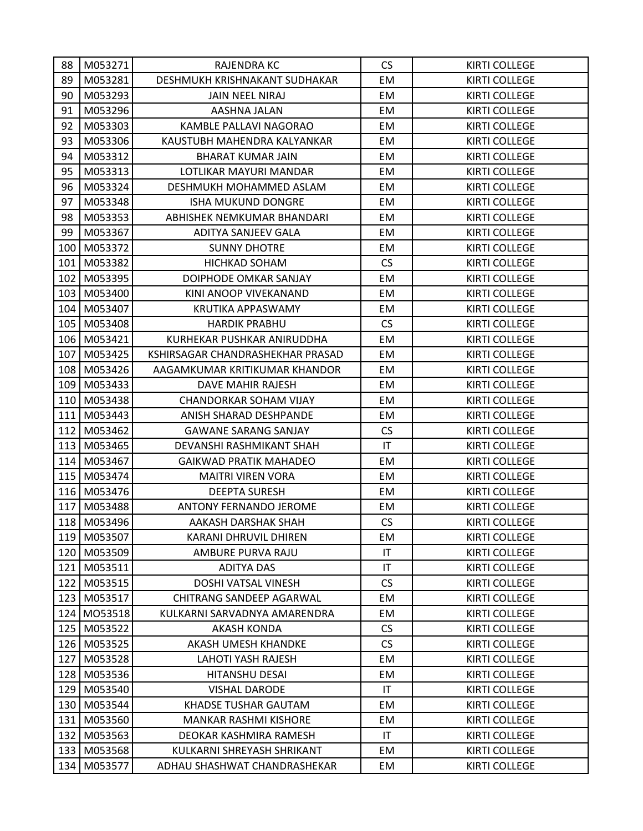| 88  | M053271     | RAJENDRA KC                      | <b>CS</b>              | KIRTI COLLEGE        |
|-----|-------------|----------------------------------|------------------------|----------------------|
| 89  | M053281     | DESHMUKH KRISHNAKANT SUDHAKAR    | EM                     | <b>KIRTI COLLEGE</b> |
| 90  | M053293     | <b>JAIN NEEL NIRAJ</b>           | EM                     | <b>KIRTI COLLEGE</b> |
| 91  | M053296     | AASHNA JALAN                     | EM                     | <b>KIRTI COLLEGE</b> |
| 92  | M053303     | KAMBLE PALLAVI NAGORAO           | EM                     | <b>KIRTI COLLEGE</b> |
| 93  | M053306     | KAUSTUBH MAHENDRA KALYANKAR      | EM                     | <b>KIRTI COLLEGE</b> |
| 94  | M053312     | <b>BHARAT KUMAR JAIN</b>         | EM.                    | <b>KIRTI COLLEGE</b> |
| 95  | M053313     | LOTLIKAR MAYURI MANDAR           | EM                     | <b>KIRTI COLLEGE</b> |
| 96  | M053324     | DESHMUKH MOHAMMED ASLAM          | EM                     | <b>KIRTI COLLEGE</b> |
| 97  | M053348     | <b>ISHA MUKUND DONGRE</b>        | EM                     | <b>KIRTI COLLEGE</b> |
| 98  | M053353     | ABHISHEK NEMKUMAR BHANDARI       | EM                     | <b>KIRTI COLLEGE</b> |
| 99  | M053367     | ADITYA SANJEEV GALA              | EM                     | <b>KIRTI COLLEGE</b> |
| 100 | M053372     | <b>SUNNY DHOTRE</b>              | EM                     | <b>KIRTI COLLEGE</b> |
| 101 | M053382     | <b>HICHKAD SOHAM</b>             | <b>CS</b>              | <b>KIRTI COLLEGE</b> |
| 102 | M053395     | DOIPHODE OMKAR SANJAY            | EM                     | <b>KIRTI COLLEGE</b> |
| 103 | M053400     | KINI ANOOP VIVEKANAND            | EM                     | <b>KIRTI COLLEGE</b> |
| 104 | M053407     | <b>KRUTIKA APPASWAMY</b>         | EM                     | <b>KIRTI COLLEGE</b> |
| 105 | M053408     | <b>HARDIK PRABHU</b>             | <b>CS</b>              | <b>KIRTI COLLEGE</b> |
| 106 | M053421     | KURHEKAR PUSHKAR ANIRUDDHA       | EM                     | <b>KIRTI COLLEGE</b> |
| 107 | M053425     | KSHIRSAGAR CHANDRASHEKHAR PRASAD | EM                     | <b>KIRTI COLLEGE</b> |
| 108 | M053426     | AAGAMKUMAR KRITIKUMAR KHANDOR    | EM                     | <b>KIRTI COLLEGE</b> |
| 109 | M053433     | DAVE MAHIR RAJESH                | EM                     | <b>KIRTI COLLEGE</b> |
| 110 | M053438     | <b>CHANDORKAR SOHAM VIJAY</b>    | EM                     | <b>KIRTI COLLEGE</b> |
| 111 | M053443     | ANISH SHARAD DESHPANDE           | EM                     | <b>KIRTI COLLEGE</b> |
| 112 | M053462     | <b>GAWANE SARANG SANJAY</b>      | <b>CS</b>              | <b>KIRTI COLLEGE</b> |
| 113 | M053465     | DEVANSHI RASHMIKANT SHAH         | IT                     | <b>KIRTI COLLEGE</b> |
| 114 | M053467     | <b>GAIKWAD PRATIK MAHADEO</b>    | EM                     | <b>KIRTI COLLEGE</b> |
| 115 | M053474     | <b>MAITRI VIREN VORA</b>         | EM                     | <b>KIRTI COLLEGE</b> |
| 116 | M053476     | <b>DEEPTA SURESH</b>             | EM                     | <b>KIRTI COLLEGE</b> |
| 117 | M053488     | ANTONY FERNANDO JEROME           | EM                     | <b>KIRTI COLLEGE</b> |
|     | 118 M053496 | AAKASH DARSHAK SHAH              | <b>CS</b>              | <b>KIRTI COLLEGE</b> |
| 119 | M053507     | KARANI DHRUVIL DHIREN            | EM                     | <b>KIRTI COLLEGE</b> |
| 120 | M053509     | AMBURE PURVA RAJU                | IT                     | <b>KIRTI COLLEGE</b> |
| 121 | M053511     | ADITYA DAS                       | IT.                    | <b>KIRTI COLLEGE</b> |
| 122 | M053515     | DOSHI VATSAL VINESH              | CS                     | <b>KIRTI COLLEGE</b> |
| 123 | M053517     | <b>CHITRANG SANDEEP AGARWAL</b>  | EM                     | <b>KIRTI COLLEGE</b> |
| 124 | M053518     | KULKARNI SARVADNYA AMARENDRA     | EM                     | <b>KIRTI COLLEGE</b> |
| 125 | M053522     | AKASH KONDA                      | <b>CS</b>              | <b>KIRTI COLLEGE</b> |
| 126 | M053525     | AKASH UMESH KHANDKE              | CS                     | <b>KIRTI COLLEGE</b> |
| 127 | M053528     | <b>LAHOTI YASH RAJESH</b>        | EM                     | <b>KIRTI COLLEGE</b> |
| 128 | M053536     | HITANSHU DESAI                   | EM                     | <b>KIRTI COLLEGE</b> |
| 129 | M053540     | <b>VISHAL DARODE</b>             | $\mathsf{I}\mathsf{T}$ | <b>KIRTI COLLEGE</b> |
| 130 | M053544     | KHADSE TUSHAR GAUTAM             | EM                     | <b>KIRTI COLLEGE</b> |
| 131 | M053560     | <b>MANKAR RASHMI KISHORE</b>     | EM                     | <b>KIRTI COLLEGE</b> |
| 132 | M053563     | DEOKAR KASHMIRA RAMESH           | IT                     | <b>KIRTI COLLEGE</b> |
| 133 | M053568     | KULKARNI SHREYASH SHRIKANT       | EM                     | KIRTI COLLEGE        |
| 134 | M053577     | ADHAU SHASHWAT CHANDRASHEKAR     | EM                     | <b>KIRTI COLLEGE</b> |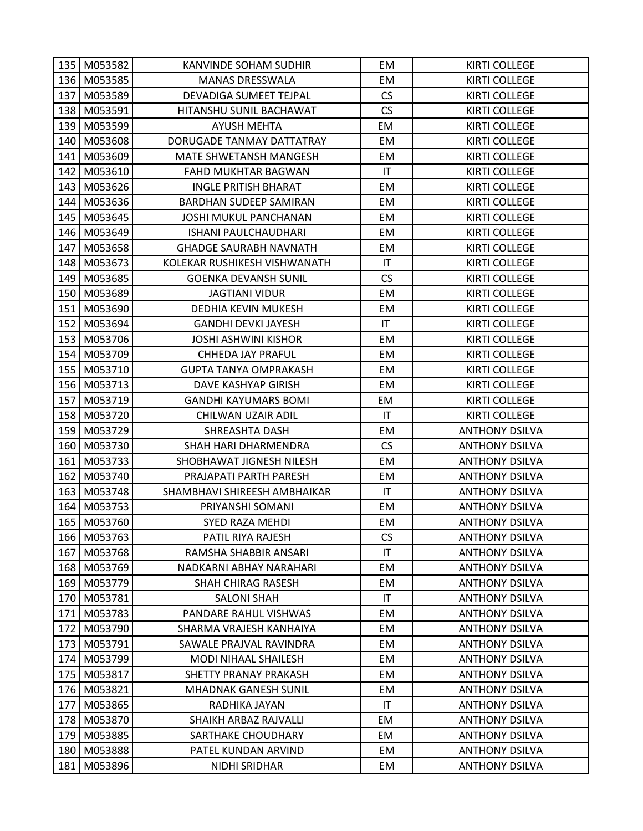|     | 135 M053582   | KANVINDE SOHAM SUDHIR         | EM                     | <b>KIRTI COLLEGE</b>  |
|-----|---------------|-------------------------------|------------------------|-----------------------|
|     | 136 M053585   | <b>MANAS DRESSWALA</b>        | EM                     | <b>KIRTI COLLEGE</b>  |
| 137 | M053589       | DEVADIGA SUMEET TEJPAL        | <b>CS</b>              | <b>KIRTI COLLEGE</b>  |
|     | 138 M053591   | HITANSHU SUNIL BACHAWAT       | <b>CS</b>              | <b>KIRTI COLLEGE</b>  |
|     | 139 M053599   | AYUSH MEHTA                   | EM                     | <b>KIRTI COLLEGE</b>  |
|     | 140 M053608   | DORUGADE TANMAY DATTATRAY     | EM                     | <b>KIRTI COLLEGE</b>  |
|     | 141 M053609   | MATE SHWETANSH MANGESH        | EM                     | <b>KIRTI COLLEGE</b>  |
| 142 | M053610       | <b>FAHD MUKHTAR BAGWAN</b>    | IT                     | <b>KIRTI COLLEGE</b>  |
|     | 143 M053626   | <b>INGLE PRITISH BHARAT</b>   | EM                     | <b>KIRTI COLLEGE</b>  |
|     | 144 M053636   | BARDHAN SUDEEP SAMIRAN        | EM                     | <b>KIRTI COLLEGE</b>  |
|     | 145 M053645   | JOSHI MUKUL PANCHANAN         | EM                     | <b>KIRTI COLLEGE</b>  |
|     | 146 M053649   | <b>ISHANI PAULCHAUDHARI</b>   | EM                     | <b>KIRTI COLLEGE</b>  |
| 147 | M053658       | <b>GHADGE SAURABH NAVNATH</b> | EM                     | <b>KIRTI COLLEGE</b>  |
|     | 148 M053673   | KOLEKAR RUSHIKESH VISHWANATH  | $\mathsf{I}\mathsf{T}$ | <b>KIRTI COLLEGE</b>  |
|     | 149 M053685   | <b>GOENKA DEVANSH SUNIL</b>   | <b>CS</b>              | <b>KIRTI COLLEGE</b>  |
|     | 150 M053689   | <b>JAGTIANI VIDUR</b>         | EM                     | <b>KIRTI COLLEGE</b>  |
|     | 151   M053690 | <b>DEDHIA KEVIN MUKESH</b>    | EM                     | <b>KIRTI COLLEGE</b>  |
|     | 152 M053694   | <b>GANDHI DEVKI JAYESH</b>    | $\mathsf{I}\mathsf{T}$ | <b>KIRTI COLLEGE</b>  |
|     | 153 M053706   | <b>JOSHI ASHWINI KISHOR</b>   | EM                     | <b>KIRTI COLLEGE</b>  |
|     | 154 M053709   | CHHEDA JAY PRAFUL             | EM                     | <b>KIRTI COLLEGE</b>  |
|     | 155 M053710   | <b>GUPTA TANYA OMPRAKASH</b>  | EM                     | <b>KIRTI COLLEGE</b>  |
|     | 156 M053713   | DAVE KASHYAP GIRISH           | EM                     | <b>KIRTI COLLEGE</b>  |
| 157 | M053719       | <b>GANDHI KAYUMARS BOMI</b>   | EM                     | <b>KIRTI COLLEGE</b>  |
|     | 158 M053720   | CHILWAN UZAIR ADIL            | IT                     | <b>KIRTI COLLEGE</b>  |
|     | 159 M053729   | SHREASHTA DASH                | EM                     | <b>ANTHONY DSILVA</b> |
|     | 160 M053730   | SHAH HARI DHARMENDRA          | CS                     | <b>ANTHONY DSILVA</b> |
| 161 | M053733       | SHOBHAWAT JIGNESH NILESH      | EM                     | <b>ANTHONY DSILVA</b> |
| 162 | M053740       | PRAJAPATI PARTH PARESH        | EM                     | <b>ANTHONY DSILVA</b> |
|     | 163 M053748   | SHAMBHAVI SHIREESH AMBHAIKAR  | IT                     | <b>ANTHONY DSILVA</b> |
| 164 | M053753       | PRIYANSHI SOMANI              | EM                     | <b>ANTHONY DSILVA</b> |
|     | 165 M053760   | SYED RAZA MEHDI               | EM                     | <b>ANTHONY DSILVA</b> |
|     | 166 M053763   | PATIL RIYA RAJESH             | <b>CS</b>              | <b>ANTHONY DSILVA</b> |
| 167 | M053768       | RAMSHA SHABBIR ANSARI         | $\mathsf{I}\mathsf{T}$ | <b>ANTHONY DSILVA</b> |
| 168 | M053769       | NADKARNI ABHAY NARAHARI       | EM                     | <b>ANTHONY DSILVA</b> |
| 169 | M053779       | <b>SHAH CHIRAG RASESH</b>     | EM                     | <b>ANTHONY DSILVA</b> |
| 170 | M053781       | <b>SALONI SHAH</b>            | IT                     | <b>ANTHONY DSILVA</b> |
| 171 | M053783       | PANDARE RAHUL VISHWAS         | EM                     | <b>ANTHONY DSILVA</b> |
| 172 | M053790       | SHARMA VRAJESH KANHAIYA       | EM                     | <b>ANTHONY DSILVA</b> |
| 173 | M053791       | SAWALE PRAJVAL RAVINDRA       | EM                     | <b>ANTHONY DSILVA</b> |
| 174 | M053799       | MODI NIHAAL SHAILESH          | EM                     | <b>ANTHONY DSILVA</b> |
| 175 | M053817       | SHETTY PRANAY PRAKASH         | EM                     | <b>ANTHONY DSILVA</b> |
|     | 176 M053821   | <b>MHADNAK GANESH SUNIL</b>   | EM                     | <b>ANTHONY DSILVA</b> |
| 177 | M053865       | RADHIKA JAYAN                 | IT                     | <b>ANTHONY DSILVA</b> |
| 178 | M053870       | SHAIKH ARBAZ RAJVALLI         | EM                     | <b>ANTHONY DSILVA</b> |
| 179 | M053885       | SARTHAKE CHOUDHARY            | EM                     | <b>ANTHONY DSILVA</b> |
| 180 | M053888       | PATEL KUNDAN ARVIND           | EM                     | <b>ANTHONY DSILVA</b> |
| 181 | M053896       | NIDHI SRIDHAR                 | EM                     | <b>ANTHONY DSILVA</b> |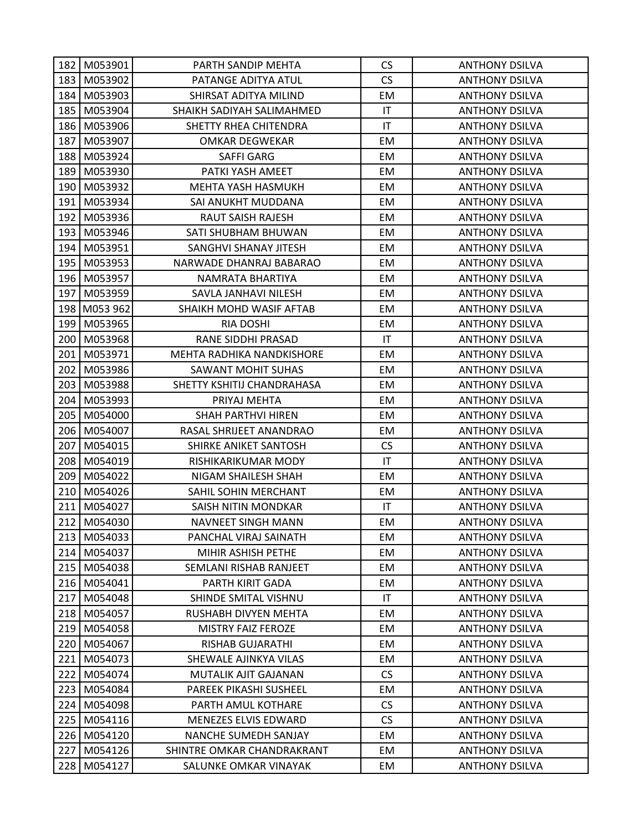|     | 182 M053901   | PARTH SANDIP MEHTA          | <b>CS</b>              | <b>ANTHONY DSILVA</b> |
|-----|---------------|-----------------------------|------------------------|-----------------------|
|     | 183 M053902   | PATANGE ADITYA ATUL         | CS                     | <b>ANTHONY DSILVA</b> |
| 184 | M053903       | SHIRSAT ADITYA MILIND       | EM                     | <b>ANTHONY DSILVA</b> |
|     | 185 M053904   | SHAIKH SADIYAH SALIMAHMED   | $\mathsf{I}\mathsf{T}$ | <b>ANTHONY DSILVA</b> |
|     | 186 M053906   | SHETTY RHEA CHITENDRA       | IT                     | <b>ANTHONY DSILVA</b> |
| 187 | M053907       | OMKAR DEGWEKAR              | EM                     | <b>ANTHONY DSILVA</b> |
|     | 188 M053924   | SAFFI GARG                  | EM                     | <b>ANTHONY DSILVA</b> |
| 189 | M053930       | PATKI YASH AMEET            | EM                     | <b>ANTHONY DSILVA</b> |
| 190 | M053932       | MEHTA YASH HASMUKH          | EM                     | <b>ANTHONY DSILVA</b> |
|     | 191   M053934 | SAI ANUKHT MUDDANA          | EM                     | <b>ANTHONY DSILVA</b> |
|     | 192 M053936   | <b>RAUT SAISH RAJESH</b>    | EM                     | <b>ANTHONY DSILVA</b> |
| 193 | M053946       | SATI SHUBHAM BHUWAN         | EM                     | <b>ANTHONY DSILVA</b> |
| 194 | M053951       | SANGHVI SHANAY JITESH       | EM                     | <b>ANTHONY DSILVA</b> |
|     | 195 M053953   | NARWADE DHANRAJ BABARAO     | EM                     | <b>ANTHONY DSILVA</b> |
|     | 196 M053957   | NAMRATA BHARTIYA            | EM                     | <b>ANTHONY DSILVA</b> |
| 197 | M053959       | SAVLA JANHAVI NILESH        | EM                     | <b>ANTHONY DSILVA</b> |
|     | 198 M053 962  | SHAIKH MOHD WASIF AFTAB     | EM                     | <b>ANTHONY DSILVA</b> |
| 199 | M053965       | <b>RIA DOSHI</b>            | EM                     | <b>ANTHONY DSILVA</b> |
|     | 200 M053968   | RANE SIDDHI PRASAD          | $\mathsf{I}\mathsf{T}$ | <b>ANTHONY DSILVA</b> |
| 201 | M053971       | MEHTA RADHIKA NANDKISHORE   | EM                     | <b>ANTHONY DSILVA</b> |
| 202 | M053986       | <b>SAWANT MOHIT SUHAS</b>   | EM                     | <b>ANTHONY DSILVA</b> |
|     | 203   M053988 | SHETTY KSHITIJ CHANDRAHASA  | EM                     | <b>ANTHONY DSILVA</b> |
|     | 204   M053993 | PRIYAJ MEHTA                | EM                     | <b>ANTHONY DSILVA</b> |
|     | 205   M054000 | SHAH PARTHVI HIREN          | EM.                    | <b>ANTHONY DSILVA</b> |
|     | 206   M054007 | RASAL SHRIJEET ANANDRAO     | EM                     | <b>ANTHONY DSILVA</b> |
| 207 | M054015       | SHIRKE ANIKET SANTOSH       | CS                     | <b>ANTHONY DSILVA</b> |
| 208 | M054019       | RISHIKARIKUMAR MODY         | $\mathsf{I}\mathsf{T}$ | <b>ANTHONY DSILVA</b> |
| 209 | M054022       | NIGAM SHAILESH SHAH         | EM                     | <b>ANTHONY DSILVA</b> |
|     | 210 M054026   | SAHIL SOHIN MERCHANT        | EM                     | <b>ANTHONY DSILVA</b> |
|     | 211 M054027   | SAISH NITIN MONDKAR         | $\mathsf{I}\mathsf{T}$ | <b>ANTHONY DSILVA</b> |
|     | 212 M054030   | NAVNEET SINGH MANN          | EM                     | <b>ANTHONY DSILVA</b> |
| 213 | M054033       | PANCHAL VIRAJ SAINATH       | EM                     | <b>ANTHONY DSILVA</b> |
|     | 214 M054037   | MIHIR ASHISH PETHE          | EM                     | <b>ANTHONY DSILVA</b> |
|     | 215 M054038   | SEMLANI RISHAB RANJEET      | EM                     | <b>ANTHONY DSILVA</b> |
| 216 | M054041       | PARTH KIRIT GADA            | EM                     | <b>ANTHONY DSILVA</b> |
| 217 | M054048       | SHINDE SMITAL VISHNU        | IT                     | <b>ANTHONY DSILVA</b> |
| 218 | M054057       | <b>RUSHABH DIVYEN MEHTA</b> | EM                     | <b>ANTHONY DSILVA</b> |
| 219 | M054058       | <b>MISTRY FAIZ FEROZE</b>   | EM                     | <b>ANTHONY DSILVA</b> |
| 220 | M054067       | RISHAB GUJARATHI            | EM                     | <b>ANTHONY DSILVA</b> |
| 221 | M054073       | SHEWALE AJINKYA VILAS       | EM                     | <b>ANTHONY DSILVA</b> |
| 222 | M054074       | MUTALIK AJIT GAJANAN        | <b>CS</b>              | <b>ANTHONY DSILVA</b> |
| 223 | M054084       | PAREEK PIKASHI SUSHEEL      | EM                     | <b>ANTHONY DSILVA</b> |
| 224 | M054098       | PARTH AMUL KOTHARE          | <b>CS</b>              | <b>ANTHONY DSILVA</b> |
| 225 | M054116       | MENEZES ELVIS EDWARD        | <b>CS</b>              | <b>ANTHONY DSILVA</b> |
|     | 226 M054120   | NANCHE SUMEDH SANJAY        | EM                     | <b>ANTHONY DSILVA</b> |
| 227 | M054126       | SHINTRE OMKAR CHANDRAKRANT  | EM                     | <b>ANTHONY DSILVA</b> |
| 228 | M054127       | SALUNKE OMKAR VINAYAK       | EM                     | <b>ANTHONY DSILVA</b> |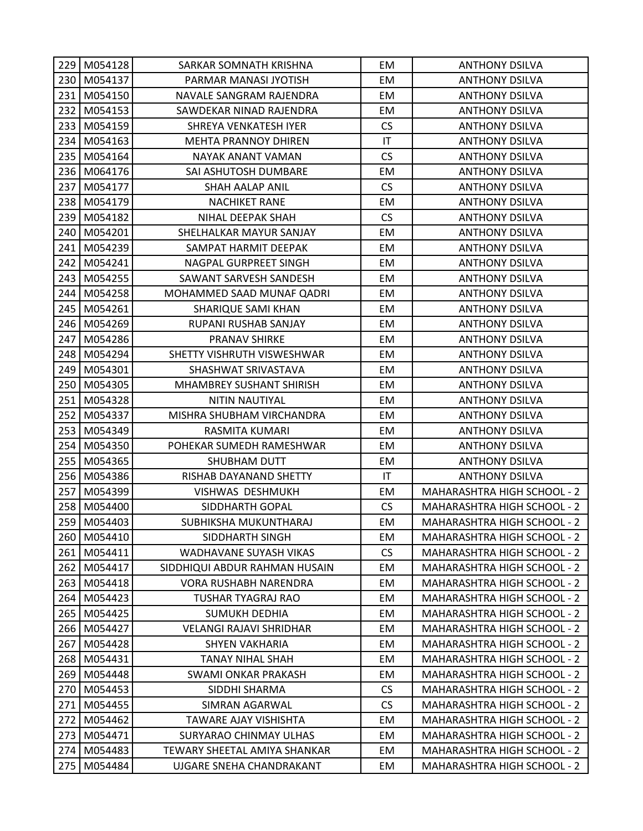|     | 229 M054128 | SARKAR SOMNATH KRISHNA          | EM                     | <b>ANTHONY DSILVA</b>              |
|-----|-------------|---------------------------------|------------------------|------------------------------------|
|     | 230 M054137 | PARMAR MANASI JYOTISH           | EM                     | <b>ANTHONY DSILVA</b>              |
| 231 | M054150     | NAVALE SANGRAM RAJENDRA         | EM                     | <b>ANTHONY DSILVA</b>              |
| 232 | M054153     | SAWDEKAR NINAD RAJENDRA         | EM                     | <b>ANTHONY DSILVA</b>              |
| 233 | M054159     | SHREYA VENKATESH IYER           | <b>CS</b>              | <b>ANTHONY DSILVA</b>              |
| 234 | M054163     | <b>MEHTA PRANNOY DHIREN</b>     | $\mathsf{I}\mathsf{T}$ | <b>ANTHONY DSILVA</b>              |
|     | 235 M054164 | NAYAK ANANT VAMAN               | CS                     | <b>ANTHONY DSILVA</b>              |
| 236 | M064176     | SAI ASHUTOSH DUMBARE            | EM                     | <b>ANTHONY DSILVA</b>              |
| 237 | M054177     | SHAH AALAP ANIL                 | <b>CS</b>              | <b>ANTHONY DSILVA</b>              |
|     | 238 M054179 | <b>NACHIKET RANE</b>            | EM                     | <b>ANTHONY DSILVA</b>              |
| 239 | M054182     | NIHAL DEEPAK SHAH               | <b>CS</b>              | <b>ANTHONY DSILVA</b>              |
| 240 | M054201     | SHELHALKAR MAYUR SANJAY         | EM                     | <b>ANTHONY DSILVA</b>              |
| 241 | M054239     | SAMPAT HARMIT DEEPAK            | EM                     | <b>ANTHONY DSILVA</b>              |
| 242 | M054241     | NAGPAL GURPREET SINGH           | EM                     | <b>ANTHONY DSILVA</b>              |
| 243 | M054255     | SAWANT SARVESH SANDESH          | EM                     | <b>ANTHONY DSILVA</b>              |
| 244 | M054258     | MOHAMMED SAAD MUNAF QADRI       | EM                     | <b>ANTHONY DSILVA</b>              |
| 245 | M054261     | SHARIQUE SAMI KHAN              | EM                     | <b>ANTHONY DSILVA</b>              |
| 246 | M054269     | RUPANI RUSHAB SANJAY            | EM                     | <b>ANTHONY DSILVA</b>              |
| 247 | M054286     | <b>PRANAV SHIRKE</b>            | EM                     | <b>ANTHONY DSILVA</b>              |
|     | 248 M054294 | SHETTY VISHRUTH VISWESHWAR      | EM                     | <b>ANTHONY DSILVA</b>              |
| 249 | M054301     | SHASHWAT SRIVASTAVA             | EM                     | <b>ANTHONY DSILVA</b>              |
| 250 | M054305     | <b>MHAMBREY SUSHANT SHIRISH</b> | EM                     | <b>ANTHONY DSILVA</b>              |
| 251 | M054328     | NITIN NAUTIYAL                  | EM                     | <b>ANTHONY DSILVA</b>              |
| 252 | M054337     | MISHRA SHUBHAM VIRCHANDRA       | EM                     | <b>ANTHONY DSILVA</b>              |
| 253 | M054349     | RASMITA KUMARI                  | EM                     | <b>ANTHONY DSILVA</b>              |
| 254 | M054350     | POHEKAR SUMEDH RAMESHWAR        | EM                     | <b>ANTHONY DSILVA</b>              |
| 255 | M054365     | SHUBHAM DUTT                    | EM                     | <b>ANTHONY DSILVA</b>              |
|     | 256 M054386 | RISHAB DAYANAND SHETTY          | $\mathsf{I}\mathsf{T}$ | <b>ANTHONY DSILVA</b>              |
| 257 | M054399     | VISHWAS DESHMUKH                | EM                     | <b>MAHARASHTRA HIGH SCHOOL - 2</b> |
|     | 258 M054400 | SIDDHARTH GOPAL                 | <b>CS</b>              | <b>MAHARASHTRA HIGH SCHOOL - 2</b> |
|     | 259 M054403 | SUBHIKSHA MUKUNTHARAJ           | EM                     | <b>MAHARASHTRA HIGH SCHOOL - 2</b> |
| 260 | M054410     | SIDDHARTH SINGH                 | EM                     | <b>MAHARASHTRA HIGH SCHOOL - 2</b> |
|     | 261 M054411 | WADHAVANE SUYASH VIKAS          | <b>CS</b>              | <b>MAHARASHTRA HIGH SCHOOL - 2</b> |
| 262 | M054417     | SIDDHIQUI ABDUR RAHMAN HUSAIN   | EM                     | <b>MAHARASHTRA HIGH SCHOOL - 2</b> |
| 263 | M054418     | VORA RUSHABH NARENDRA           | EM                     | <b>MAHARASHTRA HIGH SCHOOL - 2</b> |
| 264 | M054423     | TUSHAR TYAGRAJ RAO              | EM                     | <b>MAHARASHTRA HIGH SCHOOL - 2</b> |
| 265 | M054425     | <b>SUMUKH DEDHIA</b>            | EM                     | <b>MAHARASHTRA HIGH SCHOOL - 2</b> |
| 266 | M054427     | <b>VELANGI RAJAVI SHRIDHAR</b>  | EM                     | <b>MAHARASHTRA HIGH SCHOOL - 2</b> |
| 267 | M054428     | <b>SHYEN VAKHARIA</b>           | EM                     | <b>MAHARASHTRA HIGH SCHOOL - 2</b> |
| 268 | M054431     | <b>TANAY NIHAL SHAH</b>         | EM                     | <b>MAHARASHTRA HIGH SCHOOL - 2</b> |
| 269 | M054448     | SWAMI ONKAR PRAKASH             | EM                     | <b>MAHARASHTRA HIGH SCHOOL - 2</b> |
| 270 | M054453     | SIDDHI SHARMA                   | <b>CS</b>              | <b>MAHARASHTRA HIGH SCHOOL - 2</b> |
| 271 | M054455     | SIMRAN AGARWAL                  | <b>CS</b>              | <b>MAHARASHTRA HIGH SCHOOL - 2</b> |
| 272 | M054462     | TAWARE AJAY VISHISHTA           | EM                     | <b>MAHARASHTRA HIGH SCHOOL - 2</b> |
| 273 | M054471     | SURYARAO CHINMAY ULHAS          | EM                     | <b>MAHARASHTRA HIGH SCHOOL - 2</b> |
| 274 | M054483     | TEWARY SHEETAL AMIYA SHANKAR    | EM                     | <b>MAHARASHTRA HIGH SCHOOL - 2</b> |
| 275 | M054484     | UJGARE SNEHA CHANDRAKANT        | EM                     | <b>MAHARASHTRA HIGH SCHOOL - 2</b> |